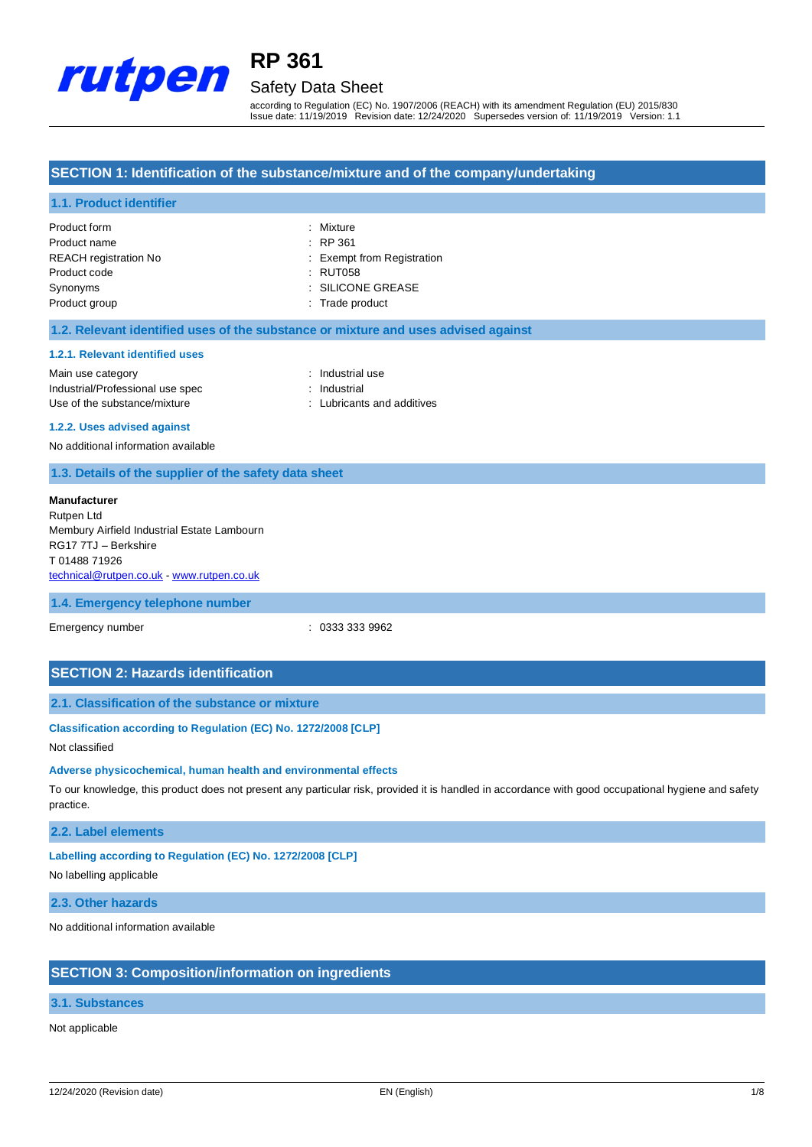

# Safety Data Sheet

according to Regulation (EC) No. 1907/2006 (REACH) with its amendment Regulation (EU) 2015/830 Issue date: 11/19/2019 Revision date: 12/24/2020 Supersedes version of: 11/19/2019 Version: 1.1

# **SECTION 1: Identification of the substance/mixture and of the company/undertaking**

## **1.1. Product identifier**

| Product form                 | : Mixture                  |
|------------------------------|----------------------------|
| Product name                 | $\therefore$ RP 361        |
| <b>REACH</b> registration No | : Exempt from Registration |
| Product code                 | : RUT058                   |
| Synonyms                     | : SILICONE GREASE          |
| Product group                | : Trade product            |

### **1.2. Relevant identified uses of the substance or mixture and uses advised against**

#### **1.2.1. Relevant identified uses**

Main use category **Example 20** and 20 and 20 and 20 and 20 and 20 and 20 and 20 and 20 and 20 and 20 and 20 and 20 and 20 and 20 and 20 and 20 and 20 and 20 and 20 and 20 and 20 and 20 and 20 and 20 and 20 and 20 and 20 an Industrial/Professional use spec : Industrial Use of the substance/mixture in the substance in the substance of the substance in the substance in the substance in the substance in the substance in the substance in the substance in the substance in the substance in the

#### **1.2.2. Uses advised against**

No additional information available

# **1.3. Details of the supplier of the safety data sheet**

| Manufacturer                                |  |
|---------------------------------------------|--|
| Rutpen Ltd                                  |  |
| Membury Airfield Industrial Estate Lambourn |  |
| RG17 7TJ - Berkshire                        |  |
| T 01488 71926                               |  |
| technical@rutpen.co.uk - www.rutpen.co.uk   |  |
|                                             |  |

### **1.4. Emergency telephone number**

Emergency number : 0333 333 9962

## **SECTION 2: Hazards identification**

## **2.1. Classification of the substance or mixture**

#### **Classification according to Regulation (EC) No. 1272/2008 [CLP]**

### Not classified

#### **Adverse physicochemical, human health and environmental effects**

To our knowledge, this product does not present any particular risk, provided it is handled in accordance with good occupational hygiene and safety practice.

### **2.2. Label elements**

### **Labelling according to Regulation (EC) No. 1272/2008 [CLP]**

No labelling applicable

**2.3. Other hazards**

No additional information available

# **SECTION 3: Composition/information on ingredients**

# **3.1. Substances**

## Not applicable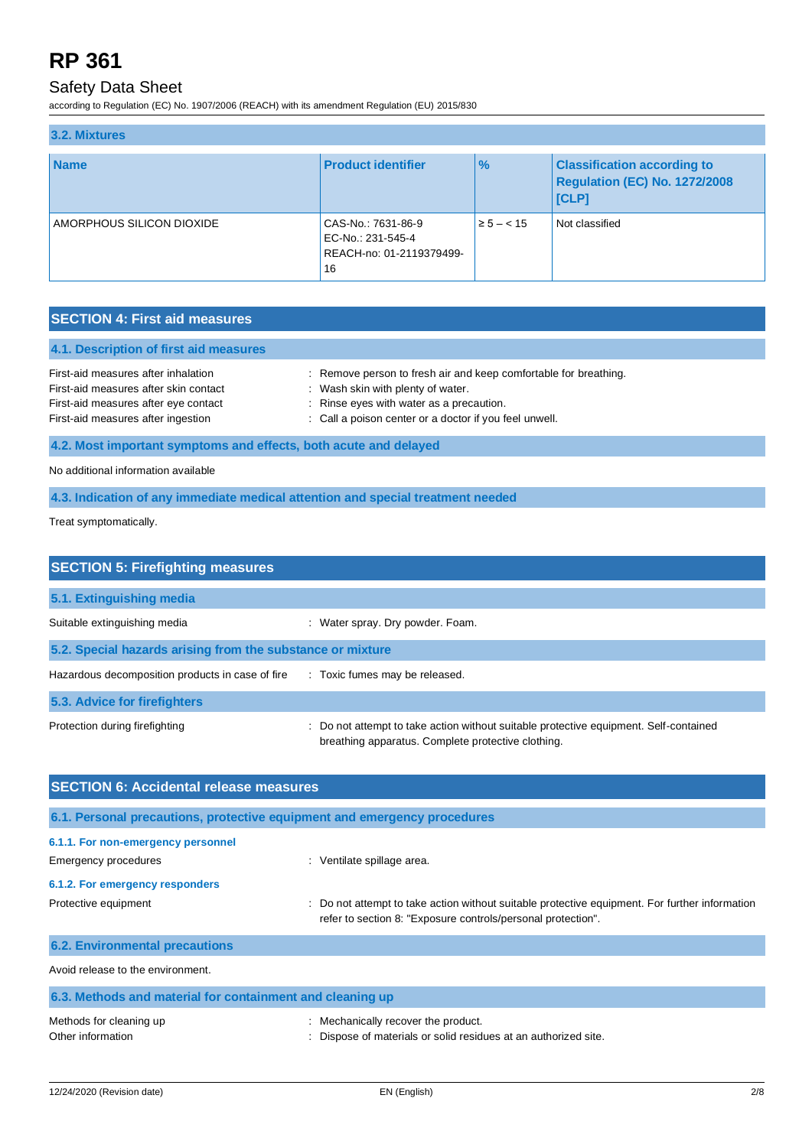# Safety Data Sheet

according to Regulation (EC) No. 1907/2006 (REACH) with its amendment Regulation (EU) 2015/830

| 3.2. Mixtures             |                                                                           |                |                                                                                     |  |
|---------------------------|---------------------------------------------------------------------------|----------------|-------------------------------------------------------------------------------------|--|
| <b>Name</b>               | <b>Product identifier</b>                                                 | $\frac{9}{6}$  | <b>Classification according to</b><br>Regulation (EC) No. 1272/2008<br><b>ICLP1</b> |  |
| AMORPHOUS SILICON DIOXIDE | CAS-No.: 7631-86-9<br>EC-No.: 231-545-4<br>REACH-no: 01-2119379499-<br>16 | $\ge 5 - < 15$ | Not classified                                                                      |  |

# **SECTION 4: First aid measures**

| 4.1. Description of first aid measures                           |                                                                  |  |
|------------------------------------------------------------------|------------------------------------------------------------------|--|
| First-aid measures after inhalation                              | : Remove person to fresh air and keep comfortable for breathing. |  |
| First-aid measures after skin contact                            | : Wash skin with plenty of water.                                |  |
| First-aid measures after eye contact                             | : Rinse eyes with water as a precaution.                         |  |
| First-aid measures after ingestion                               | : Call a poison center or a doctor if you feel unwell.           |  |
| 4.2. Most important symptoms and effects, both acute and delayed |                                                                  |  |

No additional information available

**4.3. Indication of any immediate medical attention and special treatment needed**

Treat symptomatically.

| <b>SECTION 5: Firefighting measures</b>                    |                                                                                                                                           |  |  |  |
|------------------------------------------------------------|-------------------------------------------------------------------------------------------------------------------------------------------|--|--|--|
| 5.1. Extinguishing media                                   |                                                                                                                                           |  |  |  |
| Suitable extinguishing media                               | Water spray. Dry powder. Foam.                                                                                                            |  |  |  |
| 5.2. Special hazards arising from the substance or mixture |                                                                                                                                           |  |  |  |
| Hazardous decomposition products in case of fire           | : Toxic fumes may be released.                                                                                                            |  |  |  |
| 5.3. Advice for firefighters                               |                                                                                                                                           |  |  |  |
| Protection during firefighting                             | Do not attempt to take action without suitable protective equipment. Self-contained<br>breathing apparatus. Complete protective clothing. |  |  |  |

| <b>SECTION 6: Accidental release measures</b>                            |                                                                                                                                                                |  |  |
|--------------------------------------------------------------------------|----------------------------------------------------------------------------------------------------------------------------------------------------------------|--|--|
| 6.1. Personal precautions, protective equipment and emergency procedures |                                                                                                                                                                |  |  |
| 6.1.1. For non-emergency personnel<br>Emergency procedures               | : Ventilate spillage area.                                                                                                                                     |  |  |
| 6.1.2. For emergency responders                                          |                                                                                                                                                                |  |  |
| Protective equipment                                                     | : Do not attempt to take action without suitable protective equipment. For further information<br>refer to section 8: "Exposure controls/personal protection". |  |  |
| <b>6.2. Environmental precautions</b>                                    |                                                                                                                                                                |  |  |
| Avoid release to the environment.                                        |                                                                                                                                                                |  |  |
| 6.3. Methods and material for containment and cleaning up                |                                                                                                                                                                |  |  |

| Methods for cleaning up | : Mechanically recover the product.                             |
|-------------------------|-----------------------------------------------------------------|
| Other information       | : Dispose of materials or solid residues at an authorized site. |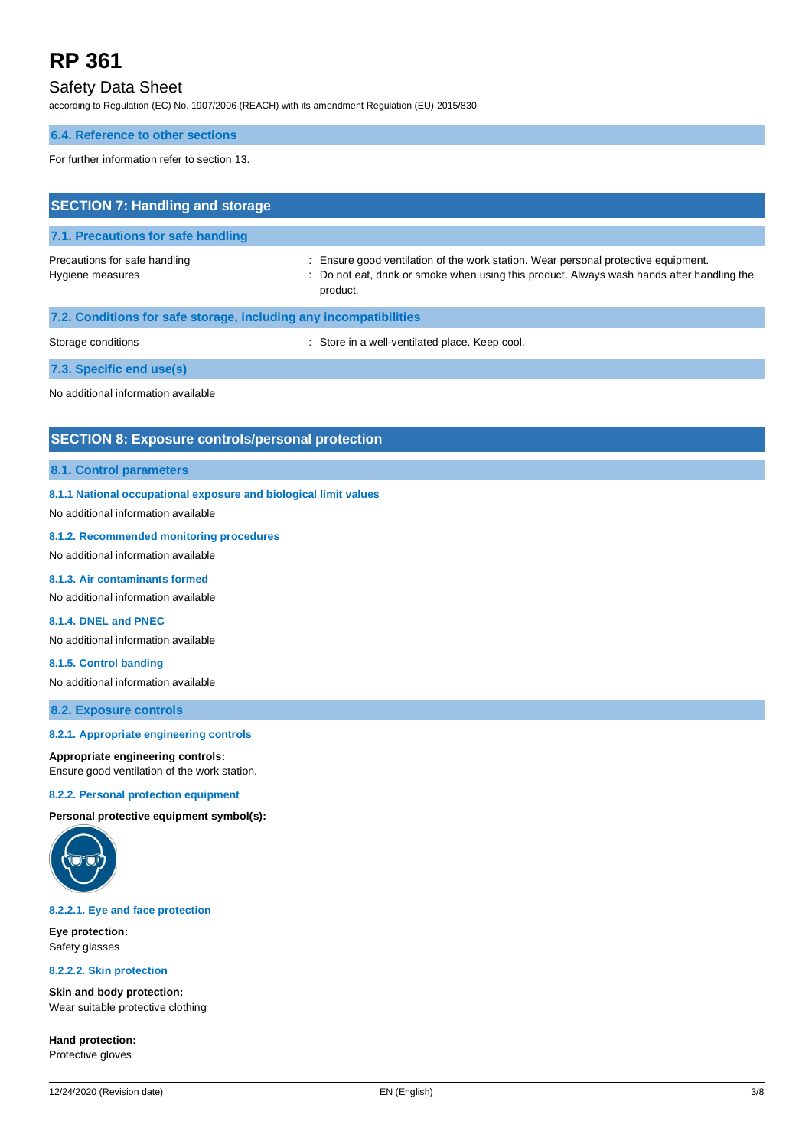# Safety Data Sheet

according to Regulation (EC) No. 1907/2006 (REACH) with its amendment Regulation (EU) 2015/830

# **6.4. Reference to other sections**

For further information refer to section 13.

| <b>SECTION 7: Handling and storage</b>                            |                                                                                                                                                                                              |  |  |  |
|-------------------------------------------------------------------|----------------------------------------------------------------------------------------------------------------------------------------------------------------------------------------------|--|--|--|
| 7.1. Precautions for safe handling                                |                                                                                                                                                                                              |  |  |  |
| Precautions for safe handling<br>Hygiene measures                 | : Ensure good ventilation of the work station. Wear personal protective equipment.<br>: Do not eat, drink or smoke when using this product. Always wash hands after handling the<br>product. |  |  |  |
| 7.2. Conditions for safe storage, including any incompatibilities |                                                                                                                                                                                              |  |  |  |
| Storage conditions                                                | : Store in a well-ventilated place. Keep cool.                                                                                                                                               |  |  |  |
| 7.3. Specific end use(s)                                          |                                                                                                                                                                                              |  |  |  |
|                                                                   |                                                                                                                                                                                              |  |  |  |

No additional information available

# **SECTION 8: Exposure controls/personal protection**

## **8.1. Control parameters**

## **8.1.1 National occupational exposure and biological limit values**

No additional information available

## **8.1.2. Recommended monitoring procedures**

No additional information available

## **8.1.3. Air contaminants formed**

No additional information available

# **8.1.4. DNEL and PNEC**

No additional information available

### **8.1.5. Control banding**

No additional information available

**8.2. Exposure controls**

#### **8.2.1. Appropriate engineering controls**

#### **Appropriate engineering controls:**

Ensure good ventilation of the work station.

#### **8.2.2. Personal protection equipment**

**Personal protective equipment symbol(s):**



#### **8.2.2.1. Eye and face protection**

**Eye protection:** Safety glasses

#### **8.2.2.2. Skin protection**

**Skin and body protection:** Wear suitable protective clothing

**Hand protection:** Protective gloves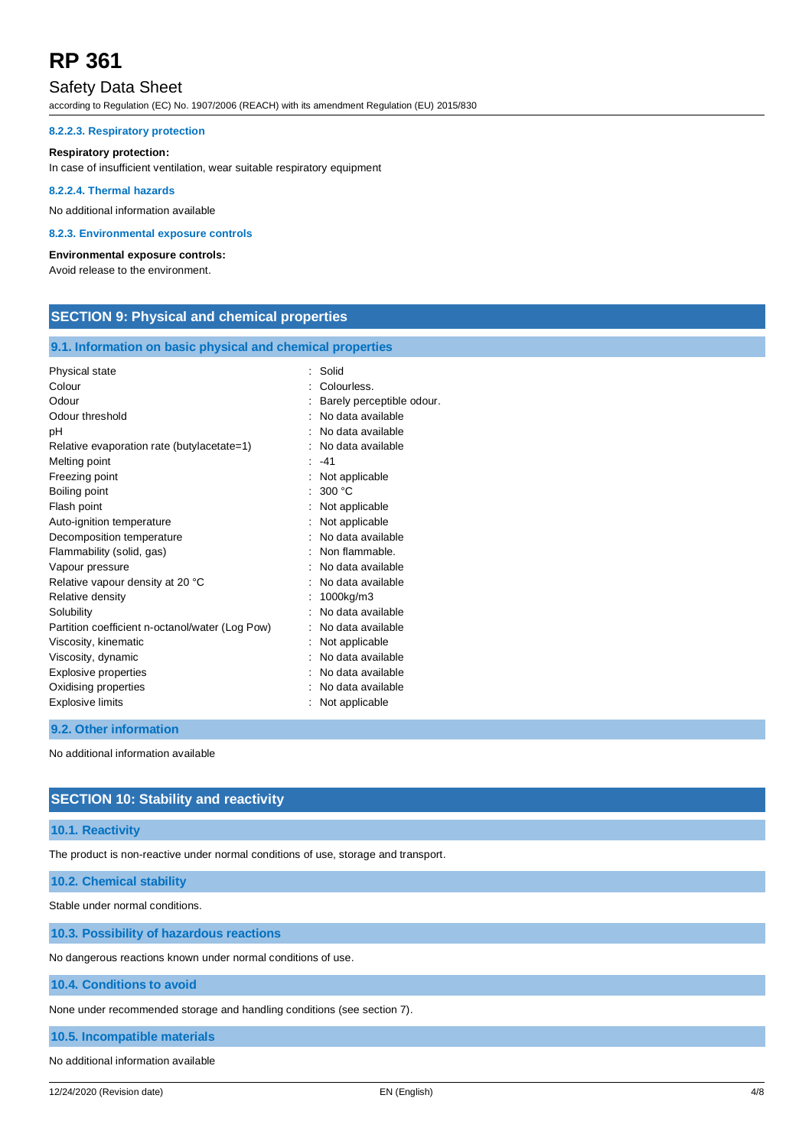# Safety Data Sheet

according to Regulation (EC) No. 1907/2006 (REACH) with its amendment Regulation (EU) 2015/830

### **8.2.2.3. Respiratory protection**

#### **Respiratory protection:**

In case of insufficient ventilation, wear suitable respiratory equipment

## **8.2.2.4. Thermal hazards**

No additional information available

#### **8.2.3. Environmental exposure controls**

#### **Environmental exposure controls:**

Avoid release to the environment.

# **SECTION 9: Physical and chemical properties**

# **9.1. Information on basic physical and chemical properties**

| Physical state                                  | : Solid                   |
|-------------------------------------------------|---------------------------|
| Colour                                          | : Colourless.             |
| Odour                                           | Barely perceptible odour. |
| Odour threshold                                 | No data available         |
| рH                                              | No data available         |
| Relative evaporation rate (butylacetate=1)      | No data available         |
| Melting point                                   | $-41$                     |
| Freezing point                                  | Not applicable            |
| Boiling point                                   | 300 °C                    |
| Flash point                                     | Not applicable            |
| Auto-ignition temperature                       | Not applicable            |
| Decomposition temperature                       | No data available         |
| Flammability (solid, gas)                       | Non flammable.            |
| Vapour pressure                                 | : No data available       |
| Relative vapour density at 20 °C                | No data available         |
| Relative density                                | 1000kg/m3                 |
| Solubility                                      | No data available         |
| Partition coefficient n-octanol/water (Log Pow) | No data available         |
| Viscosity, kinematic                            | Not applicable            |
| Viscosity, dynamic                              | No data available         |
| Explosive properties                            | No data available         |
| Oxidising properties                            | No data available         |
| <b>Explosive limits</b>                         | Not applicable            |
|                                                 |                           |

## **9.2. Other information**

No additional information available

# **SECTION 10: Stability and reactivity**

## **10.1. Reactivity**

The product is non-reactive under normal conditions of use, storage and transport.

## **10.2. Chemical stability**

Stable under normal conditions.

## **10.3. Possibility of hazardous reactions**

No dangerous reactions known under normal conditions of use.

## **10.4. Conditions to avoid**

None under recommended storage and handling conditions (see section 7).

### **10.5. Incompatible materials**

No additional information available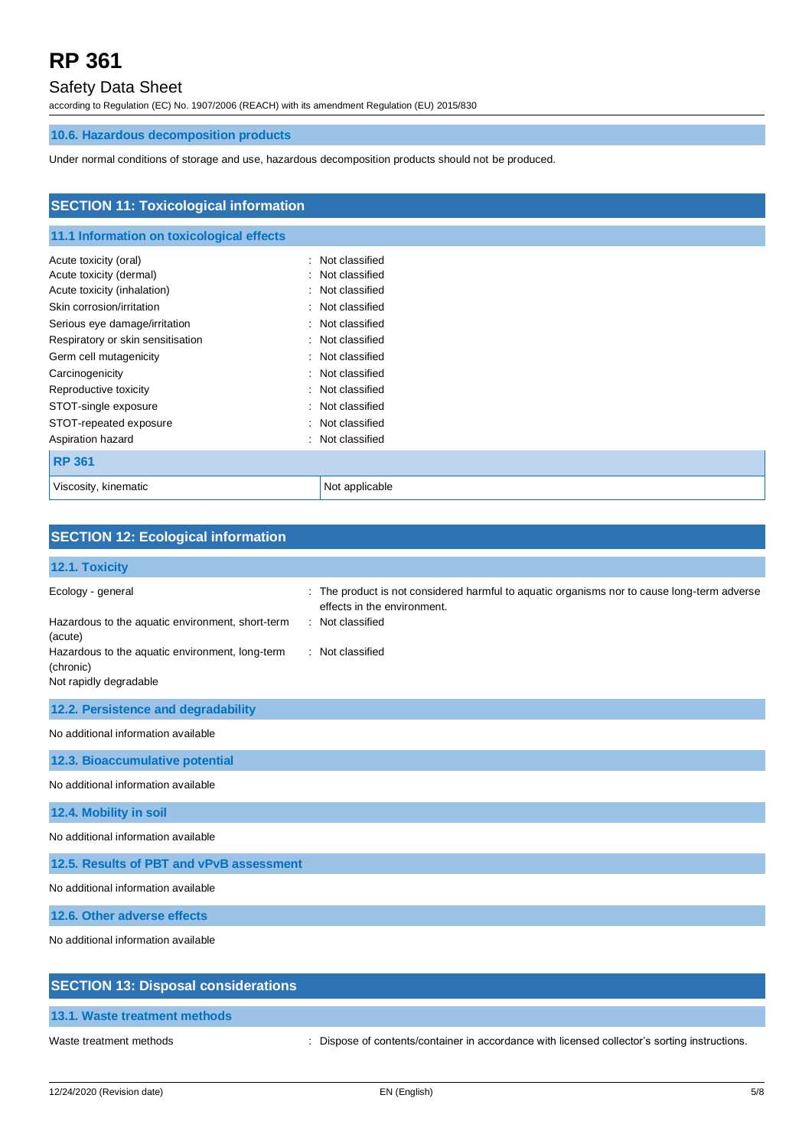# Safety Data Sheet

according to Regulation (EC) No. 1907/2006 (REACH) with its amendment Regulation (EU) 2015/830

# **10.6. Hazardous decomposition products**

Under normal conditions of storage and use, hazardous decomposition products should not be produced.

| <b>SECTION 11: Toxicological information</b> |                     |  |
|----------------------------------------------|---------------------|--|
| 11.1 Information on toxicological effects    |                     |  |
| Acute toxicity (oral)                        | Not classified<br>٠ |  |
| Acute toxicity (dermal)                      | Not classified<br>٠ |  |
| Acute toxicity (inhalation)                  | Not classified<br>٠ |  |
| Skin corrosion/irritation                    | Not classified<br>÷ |  |
| Serious eye damage/irritation                | Not classified<br>÷ |  |
| Respiratory or skin sensitisation            | Not classified<br>÷ |  |
| Germ cell mutagenicity                       | Not classified<br>٠ |  |
| Carcinogenicity                              | Not classified<br>÷ |  |
| Reproductive toxicity                        | Not classified<br>÷ |  |
| STOT-single exposure                         | Not classified<br>÷ |  |
| STOT-repeated exposure                       | Not classified<br>÷ |  |
| Aspiration hazard                            | Not classified<br>÷ |  |
| <b>RP 361</b>                                |                     |  |
| Viscosity, kinematic                         | Not applicable      |  |

| <b>SECTION 12: Ecological information</b>                                                                                                                                  |                                                                                                                                                                  |
|----------------------------------------------------------------------------------------------------------------------------------------------------------------------------|------------------------------------------------------------------------------------------------------------------------------------------------------------------|
| 12.1. Toxicity                                                                                                                                                             |                                                                                                                                                                  |
| Ecology - general<br>Hazardous to the aquatic environment, short-term<br>(acute)<br>Hazardous to the aquatic environment, long-term<br>(chronic)<br>Not rapidly degradable | The product is not considered harmful to aquatic organisms nor to cause long-term adverse<br>effects in the environment.<br>: Not classified<br>: Not classified |
| 12.2. Persistence and degradability                                                                                                                                        |                                                                                                                                                                  |
| No additional information available                                                                                                                                        |                                                                                                                                                                  |
| 12.3. Bioaccumulative potential                                                                                                                                            |                                                                                                                                                                  |
| No additional information available                                                                                                                                        |                                                                                                                                                                  |
| 12.4. Mobility in soil                                                                                                                                                     |                                                                                                                                                                  |
| No additional information available                                                                                                                                        |                                                                                                                                                                  |
| 12.5. Results of PBT and vPvB assessment                                                                                                                                   |                                                                                                                                                                  |
| No additional information available                                                                                                                                        |                                                                                                                                                                  |
| 12.6. Other adverse effects                                                                                                                                                |                                                                                                                                                                  |
| No additional information available                                                                                                                                        |                                                                                                                                                                  |
| <b>SECTION 13: Disposal considerations</b>                                                                                                                                 |                                                                                                                                                                  |

Waste treatment methods : Dispose of contents/container in accordance with licensed collector's sorting instructions.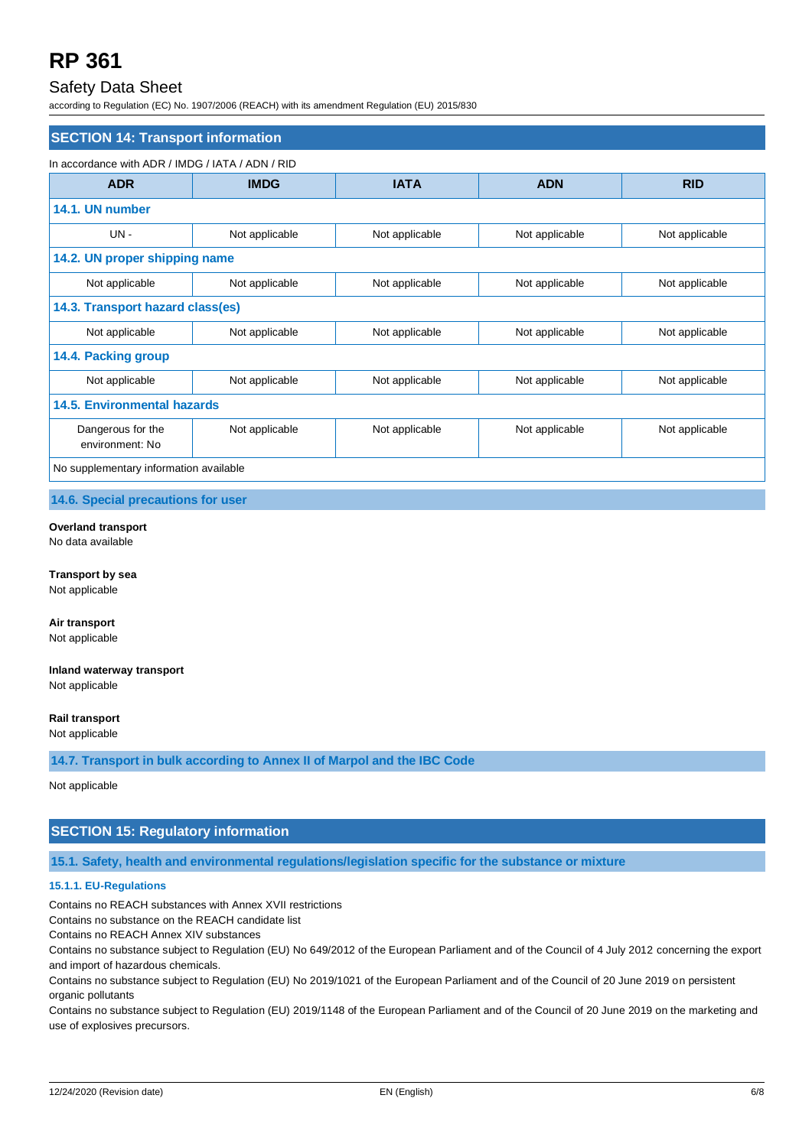# Safety Data Sheet

according to Regulation (EC) No. 1907/2006 (REACH) with its amendment Regulation (EU) 2015/830

| <b>SECTION 14: Transport information</b>         |                |                |                |                |  |
|--------------------------------------------------|----------------|----------------|----------------|----------------|--|
| In accordance with ADR / IMDG / IATA / ADN / RID |                |                |                |                |  |
| <b>ADR</b>                                       | <b>IMDG</b>    | <b>IATA</b>    | <b>ADN</b>     | <b>RID</b>     |  |
| 14.1. UN number                                  |                |                |                |                |  |
| $UN -$                                           | Not applicable | Not applicable | Not applicable | Not applicable |  |
| 14.2. UN proper shipping name                    |                |                |                |                |  |
| Not applicable                                   | Not applicable | Not applicable | Not applicable | Not applicable |  |
| 14.3. Transport hazard class(es)                 |                |                |                |                |  |
| Not applicable                                   | Not applicable | Not applicable | Not applicable | Not applicable |  |
| 14.4. Packing group                              |                |                |                |                |  |
| Not applicable                                   | Not applicable | Not applicable | Not applicable | Not applicable |  |
| <b>14.5. Environmental hazards</b>               |                |                |                |                |  |
| Dangerous for the<br>environment: No             | Not applicable | Not applicable | Not applicable | Not applicable |  |
| No supplementary information available           |                |                |                |                |  |

**14.6. Special precautions for user**

**Overland transport** No data available

**Transport by sea** Not applicable

**Air transport** Not applicable

**Inland waterway transport** Not applicable

**Rail transport** Not applicable

**14.7. Transport in bulk according to Annex II of Marpol and the IBC Code**

Not applicable

# **SECTION 15: Regulatory information**

**15.1. Safety, health and environmental regulations/legislation specific for the substance or mixture**

# **15.1.1. EU-Regulations**

Contains no REACH substances with Annex XVII restrictions

Contains no substance on the REACH candidate list

Contains no REACH Annex XIV substances

Contains no substance subject to Regulation (EU) No 649/2012 of the European Parliament and of the Council of 4 July 2012 concerning the export and import of hazardous chemicals.

Contains no substance subject to Regulation (EU) No 2019/1021 of the European Parliament and of the Council of 20 June 2019 on persistent organic pollutants

Contains no substance subject to Regulation (EU) 2019/1148 of the European Parliament and of the Council of 20 June 2019 on the marketing and use of explosives precursors.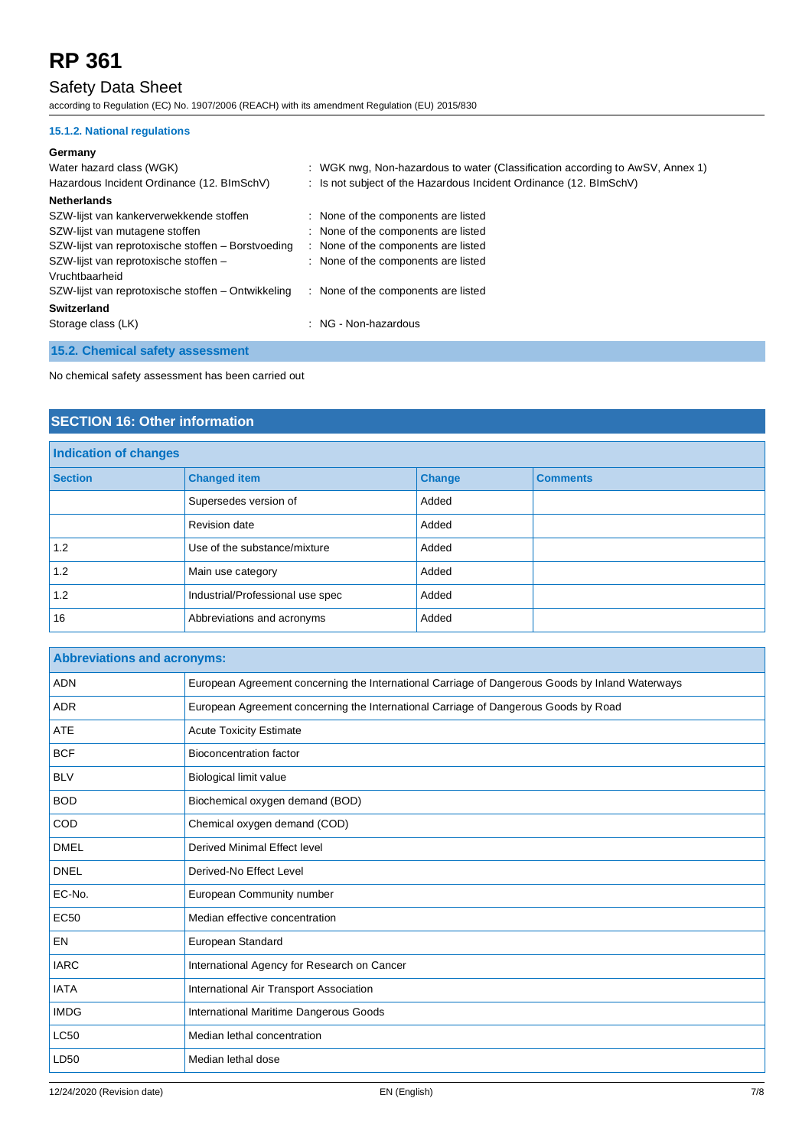# Safety Data Sheet

according to Regulation (EC) No. 1907/2006 (REACH) with its amendment Regulation (EU) 2015/830

# **15.1.2. National regulations**

## **Germany**

| Water hazard class (WGK)<br>Hazardous Incident Ordinance (12. BImSchV) | : WGK nwg, Non-hazardous to water (Classification according to AwSV, Annex 1)<br>: Is not subject of the Hazardous Incident Ordinance (12. BImSchV) |
|------------------------------------------------------------------------|-----------------------------------------------------------------------------------------------------------------------------------------------------|
| <b>Netherlands</b>                                                     |                                                                                                                                                     |
| SZW-lijst van kankerverwekkende stoffen                                | : None of the components are listed                                                                                                                 |
| SZW-lijst van mutagene stoffen                                         | : None of the components are listed                                                                                                                 |
| SZW-lijst van reprotoxische stoffen – Borstvoeding                     | : None of the components are listed                                                                                                                 |
| SZW-lijst van reprotoxische stoffen -<br>Vruchtbaarheid                | : None of the components are listed                                                                                                                 |
| SZW-lijst van reprotoxische stoffen – Ontwikkeling                     | : None of the components are listed                                                                                                                 |
| Switzerland                                                            |                                                                                                                                                     |
| Storage class (LK)                                                     | : NG - Non-hazardous                                                                                                                                |
| 15.2. Chemical safety assessment                                       |                                                                                                                                                     |

No chemical safety assessment has been carried out

# **SECTION 16: Other information**

| <b>Indication of changes</b> |                                  |               |                 |  |
|------------------------------|----------------------------------|---------------|-----------------|--|
| <b>Section</b>               | <b>Changed item</b>              | <b>Change</b> | <b>Comments</b> |  |
|                              | Supersedes version of            | Added         |                 |  |
|                              | Revision date                    | Added         |                 |  |
| 1.2                          | Use of the substance/mixture     | Added         |                 |  |
| 1.2                          | Main use category                | Added         |                 |  |
| 1.2                          | Industrial/Professional use spec | Added         |                 |  |
| 16                           | Abbreviations and acronyms       | Added         |                 |  |

| <b>Abbreviations and acronyms:</b> |                                                                                                 |  |
|------------------------------------|-------------------------------------------------------------------------------------------------|--|
| <b>ADN</b>                         | European Agreement concerning the International Carriage of Dangerous Goods by Inland Waterways |  |
| <b>ADR</b>                         | European Agreement concerning the International Carriage of Dangerous Goods by Road             |  |
| <b>ATE</b>                         | <b>Acute Toxicity Estimate</b>                                                                  |  |
| <b>BCF</b>                         | Bioconcentration factor                                                                         |  |
| <b>BLV</b>                         | Biological limit value                                                                          |  |
| <b>BOD</b>                         | Biochemical oxygen demand (BOD)                                                                 |  |
| <b>COD</b>                         | Chemical oxygen demand (COD)                                                                    |  |
| <b>DMEL</b>                        | <b>Derived Minimal Effect level</b>                                                             |  |
| <b>DNEL</b>                        | Derived-No Effect Level                                                                         |  |
| EC-No.                             | <b>European Community number</b>                                                                |  |
| <b>EC50</b>                        | Median effective concentration                                                                  |  |
| <b>EN</b>                          | European Standard                                                                               |  |
| <b>IARC</b>                        | International Agency for Research on Cancer                                                     |  |
| <b>IATA</b>                        | International Air Transport Association                                                         |  |
| <b>IMDG</b>                        | International Maritime Dangerous Goods                                                          |  |
| <b>LC50</b>                        | Median lethal concentration                                                                     |  |
| LD50                               | Median lethal dose                                                                              |  |